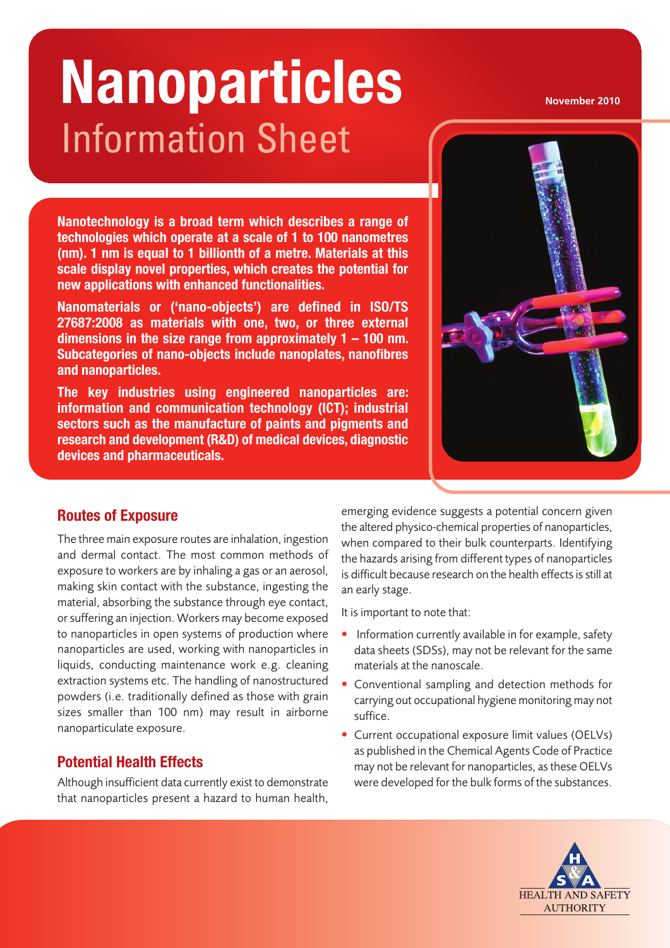# Information Sheet  $N$ anoparticles **Nanoparticles**

**Nanotechnology is a broad term which describes a range of technologies which operate at a scale of 1 to 100 nanometres (nm). 1 nm is equal to 1 billionth of a metre. Materials at this scale display novel properties, which creates the potential for new applications with enhanced functionalities.**

**Nanomaterials or ('nano-objects') are defined in ISO/TS 27687:2008 as materials with one, two, or three external dimensions in the size range from approximately 1 – 100 nm. Subcategories of nano-objects include nanoplates, nanofibres and nanoparticles.**

**The key industries using engineered nanoparticles are: information and communication technology (ICT); industrial sectors such as the manufacture of paints and pigments and research and development (R&D) of medical devices, diagnostic devices and pharmaceuticals.**



#### **Routes of Exposure**

**The three main exposure routes are inhalation, ingestion and dermal contact. The most common methods of exposure to workers are by inhaling a gas or an aerosol, making skin contact with the substance, ingesting the material, absorbing the substance through eye contact, orsuffering an injection. Workers may become exposed to nanoparticles in open systems of production where nanoparticles are used, working with nanoparticles in liquids, conducting maintenance work e.g. cleaning extraction systems etc. The handling of nanostructured powders (i.e. traditionally defined as those with grain sizes smaller than 100 nm) may result in airborne nanoparticulate exposure.**

# **Potential Health Effects**

**Although insufficient data currently exist to demonstrate that nanoparticles present a hazard to human health,**

**emerging evidence suggests a potential concern given the altered physico-chemical properties of nanoparticles, when compared to their bulk counterparts. Identifying the hazards arising from different types of nanoparticles is difficult because research on the health effectsisstill at an early stage.**

**It is important to note that:**

- **• Information currently available in for example, safety data sheets (SDSs), may not be relevant for the same materials at the nanoscale.**
- **• Conventional sampling and detection methods for carrying out occupational hygiene monitoring may not suffice.**
- **• Current occupational exposure limit values (OELVs) as published in the Chemical Agents Code of Practice may not be relevant for nanoparticles, asthese OELVs were developed for the bulk forms of the substances.**